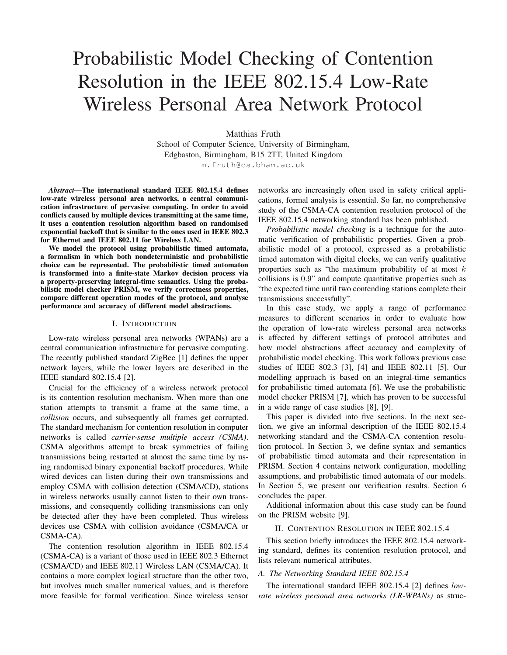# Probabilistic Model Checking of Contention Resolution in the IEEE 802.15.4 Low-Rate Wireless Personal Area Network Protocol

Matthias Fruth

School of Computer Science, University of Birmingham, Edgbaston, Birmingham, B15 2TT, United Kingdom m.fruth@cs.bham.ac.uk

*Abstract*—The international standard IEEE 802.15.4 defines low-rate wireless personal area networks, a central communication infrastructure of pervasive computing. In order to avoid conflicts caused by multiple devices transmitting at the same time, it uses a contention resolution algorithm based on randomised exponential backoff that is similar to the ones used in IEEE 802.3 for Ethernet and IEEE 802.11 for Wireless LAN.

We model the protocol using probabilistic timed automata, a formalism in which both nondeterministic and probabilistic choice can be represented. The probabilistic timed automaton is transformed into a finite-state Markov decision process via a property-preserving integral-time semantics. Using the probabilistic model checker PRISM, we verify correctness properties, compare different operation modes of the protocol, and analyse performance and accuracy of different model abstractions.

## I. INTRODUCTION

Low-rate wireless personal area networks (WPANs) are a central communication infrastructure for pervasive computing. The recently published standard ZigBee [1] defines the upper network layers, while the lower layers are described in the IEEE standard 802.15.4 [2].

Crucial for the efficiency of a wireless network protocol is its contention resolution mechanism. When more than one station attempts to transmit a frame at the same time, a *collision* occurs, and subsequently all frames get corrupted. The standard mechanism for contention resolution in computer networks is called *carrier-sense multiple access (CSMA)*. CSMA algorithms attempt to break symmetries of failing transmissions being restarted at almost the same time by using randomised binary exponential backoff procedures. While wired devices can listen during their own transmissions and employ CSMA with collision detection (CSMA/CD), stations in wireless networks usually cannot listen to their own transmissions, and consequently colliding transmissions can only be detected after they have been completed. Thus wireless devices use CSMA with collision avoidance (CSMA/CA or CSMA-CA).

The contention resolution algorithm in IEEE 802.15.4 (CSMA-CA) is a variant of those used in IEEE 802.3 Ethernet (CSMA/CD) and IEEE 802.11 Wireless LAN (CSMA/CA). It contains a more complex logical structure than the other two, but involves much smaller numerical values, and is therefore more feasible for formal verification. Since wireless sensor networks are increasingly often used in safety critical applications, formal analysis is essential. So far, no comprehensive study of the CSMA-CA contention resolution protocol of the IEEE 802.15.4 networking standard has been published.

*Probabilistic model checking* is a technique for the automatic verification of probabilistic properties. Given a probabilistic model of a protocol, expressed as a probabilistic timed automaton with digital clocks, we can verify qualitative properties such as "the maximum probability of at most  $k$ collisions is 0.9" and compute quantitative properties such as "the expected time until two contending stations complete their transmissions successfully".

In this case study, we apply a range of performance measures to different scenarios in order to evaluate how the operation of low-rate wireless personal area networks is affected by different settings of protocol attributes and how model abstractions affect accuracy and complexity of probabilistic model checking. This work follows previous case studies of IEEE 802.3 [3], [4] and IEEE 802.11 [5]. Our modelling approach is based on an integral-time semantics for probabilistic timed automata [6]. We use the probabilistic model checker PRISM [7], which has proven to be successful in a wide range of case studies [8], [9].

This paper is divided into five sections. In the next section, we give an informal description of the IEEE 802.15.4 networking standard and the CSMA-CA contention resolution protocol. In Section 3, we define syntax and semantics of probabilistic timed automata and their representation in PRISM. Section 4 contains network configuration, modelling assumptions, and probabilistic timed automata of our models. In Section 5, we present our verification results. Section 6 concludes the paper.

Additional information about this case study can be found on the PRISM website [9].

## II. CONTENTION RESOLUTION IN IEEE 802.15.4

This section briefly introduces the IEEE 802.15.4 networking standard, defines its contention resolution protocol, and lists relevant numerical attributes.

# *A. The Networking Standard IEEE 802.15.4*

The international standard IEEE 802.15.4 [2] defines *lowrate wireless personal area networks (LR-WPANs)* as struc-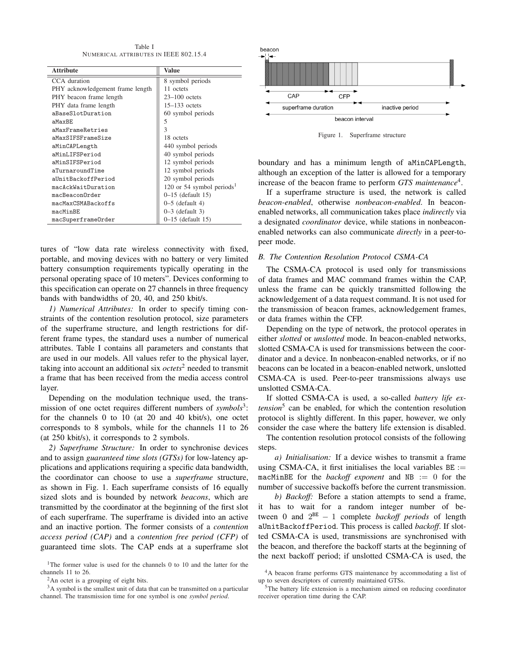Table I NUMERICAL ATTRIBUTES IN IEEE 802.15.4

| <b>Attribute</b>                 | <b>Value</b>                          |
|----------------------------------|---------------------------------------|
| CCA duration                     | 8 symbol periods                      |
| PHY acknowledgement frame length | 11 octets                             |
| PHY beacon frame length          | $23-100$ octets                       |
| PHY data frame length            | $15-133$ octets                       |
| aBaseSlotDuration                | 60 symbol periods                     |
| aMaxBE                           | 5                                     |
| aMaxFrameRetries                 | 3                                     |
| aMaxSIFSFrameSize                | 18 octets                             |
| aMinCAPLength                    | 440 symbol periods                    |
| aMinLIFSPeriod                   | 40 symbol periods                     |
| aMinSTFSPeriod                   | 12 symbol periods                     |
| aTurnaroundTime                  | 12 symbol periods                     |
| aUnitBackoffPeriod               | 20 symbol periods                     |
| macAckWaitDuration               | 120 or 54 symbol periods <sup>1</sup> |
| macBeaconOrder                   | $0-15$ (default 15)                   |
| macMaxCSMABackoffs               | $0-5$ (default 4)                     |
| macMinBE                         | $0-3$ (default 3)                     |
| macSuperframeOrder               | $0 - 15$ (default 15)                 |

tures of "low data rate wireless connectivity with fixed, portable, and moving devices with no battery or very limited battery consumption requirements typically operating in the personal operating space of 10 meters". Devices conforming to this specification can operate on 27 channels in three frequency bands with bandwidths of 20, 40, and 250 kbit/s.

*1) Numerical Attributes:* In order to specify timing constraints of the contention resolution protocol, size parameters of the superframe structure, and length restrictions for different frame types, the standard uses a number of numerical attributes. Table I contains all parameters and constants that are used in our models. All values refer to the physical layer, taking into account an additional six *octets*<sup>2</sup> needed to transmit a frame that has been received from the media access control layer.

Depending on the modulation technique used, the transmission of one octet requires different numbers of *symbols*<sup>3</sup>: for the channels 0 to 10 (at 20 and 40 kbit/s), one octet corresponds to 8 symbols, while for the channels 11 to 26 (at 250 kbit/s), it corresponds to 2 symbols.

*2) Superframe Structure:* In order to synchronise devices and to assign *guaranteed time slots (GTSs)* for low-latency applications and applications requiring a specific data bandwidth, the coordinator can choose to use a *superframe* structure, as shown in Fig. 1. Each superframe consists of 16 equally sized slots and is bounded by network *beacons*, which are transmitted by the coordinator at the beginning of the first slot of each superframe. The superframe is divided into an active and an inactive portion. The former consists of a *contention access period (CAP)* and a *contention free period (CFP)* of guaranteed time slots. The CAP ends at a superframe slot



Figure 1. Superframe structure

boundary and has a minimum length of aMinCAPLength, although an exception of the latter is allowed for a temporary increase of the beacon frame to perform *GTS maintenance*<sup>4</sup> .

If a superframe structure is used, the network is called *beacon-enabled*, otherwise *nonbeacon-enabled*. In beaconenabled networks, all communication takes place *indirectly* via a designated *coordinator* device, while stations in nonbeaconenabled networks can also communicate *directly* in a peer-topeer mode.

## *B. The Contention Resolution Protocol CSMA-CA*

The CSMA-CA protocol is used only for transmissions of data frames and MAC command frames within the CAP, unless the frame can be quickly transmitted following the acknowledgement of a data request command. It is not used for the transmission of beacon frames, acknowledgement frames, or data frames within the CFP.

Depending on the type of network, the protocol operates in either *slotted* or *unslotted* mode. In beacon-enabled networks, slotted CSMA-CA is used for transmissions between the coordinator and a device. In nonbeacon-enabled networks, or if no beacons can be located in a beacon-enabled network, unslotted CSMA-CA is used. Peer-to-peer transmissions always use unslotted CSMA-CA.

If slotted CSMA-CA is used, a so-called *battery life extension*<sup>5</sup> can be enabled, for which the contention resolution protocol is slightly different. In this paper, however, we only consider the case where the battery life extension is disabled.

The contention resolution protocol consists of the following steps.

*a) Initialisation:* If a device wishes to transmit a frame using CSMA-CA, it first initialises the local variables  $BE :=$ macMinBE for the *backoff exponent* and NB := 0 for the number of successive backoffs before the current transmission.

*b) Backoff:* Before a station attempts to send a frame, it has to wait for a random integer number of between 0 and  $2^{BE} - 1$  complete *backoff periods* of length aUnitBackoffPeriod. This process is called *backoff*. If slotted CSMA-CA is used, transmissions are synchronised with the beacon, and therefore the backoff starts at the beginning of the next backoff period; if unslotted CSMA-CA is used, the

<sup>&</sup>lt;sup>1</sup>The former value is used for the channels 0 to 10 and the latter for the channels 11 to 26.

<sup>2</sup>An octet is a grouping of eight bits.

<sup>&</sup>lt;sup>3</sup>A symbol is the smallest unit of data that can be transmitted on a particular channel. The transmission time for one symbol is one *symbol period*.

<sup>4</sup>A beacon frame performs GTS maintenance by accommodating a list of up to seven descriptors of currently maintained GTSs.

<sup>5</sup>The battery life extension is a mechanism aimed on reducing coordinator receiver operation time during the CAP.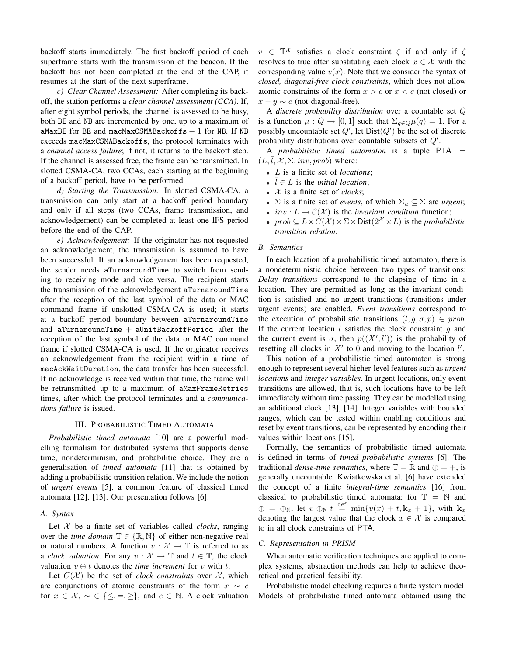backoff starts immediately. The first backoff period of each superframe starts with the transmission of the beacon. If the backoff has not been completed at the end of the CAP, it resumes at the start of the next superframe.

*c) Clear Channel Assessment:* After completing its backoff, the station performs a *clear channel assessment (CCA)*. If, after eight symbol periods, the channel is assessed to be busy, both BE and NB are incremented by one, up to a maximum of aMaxBE for BE and macMaxCSMABackoffs  $+1$  for NB. If NB exceeds macMaxCSMABackoffs, the protocol terminates with a *channel access failure*; if not, it returns to the backoff step. If the channel is assessed free, the frame can be transmitted. In slotted CSMA-CA, two CCAs, each starting at the beginning of a backoff period, have to be performed.

*d) Starting the Transmission:* In slotted CSMA-CA, a transmission can only start at a backoff period boundary and only if all steps (two CCAs, frame transmission, and acknowledgement) can be completed at least one IFS period before the end of the CAP.

*e) Acknowledgement:* If the originator has not requested an acknowledgement, the transmission is assumed to have been successful. If an acknowledgement has been requested, the sender needs aTurnaroundTime to switch from sending to receiving mode and vice versa. The recipient starts the transmission of the acknowledgement aTurnaroundTime after the reception of the last symbol of the data or MAC command frame if unslotted CSMA-CA is used; it starts at a backoff period boundary between aTurnaroundTime and aTurnaroundTime  $+$  aUnitBackoffPeriod after the reception of the last symbol of the data or MAC command frame if slotted CSMA-CA is used. If the originator receives an acknowledgement from the recipient within a time of macAckWaitDuration, the data transfer has been successful. If no acknowledge is received within that time, the frame will be retransmitted up to a maximum of aMaxFrameRetries times, after which the protocol terminates and a *communications failure* is issued.

## III. PROBABILISTIC TIMED AUTOMATA

*Probabilistic timed automata* [10] are a powerful modelling formalism for distributed systems that supports dense time, nondeterminism, and probabilitic choice. They are a generalisation of *timed automata* [11] that is obtained by adding a probabilistic transition relation. We include the notion of *urgent events* [5], a common feature of classical timed automata [12], [13]. Our presentation follows [6].

# *A. Syntax*

Let  $X$  be a finite set of variables called *clocks*, ranging over the *time domain*  $\mathbb{T} \in \{ \mathbb{R}, \mathbb{N} \}$  of either non-negative real or natural numbers. A function  $v : \mathcal{X} \to \mathbb{T}$  is referred to as a *clock valuation*. For any  $v : \mathcal{X} \to \mathbb{T}$  and  $t \in \mathbb{T}$ , the clock valuation  $v \oplus t$  denotes the *time increment* for v with t.

Let  $C(\mathcal{X})$  be the set of *clock constraints* over  $\mathcal{X}$ , which are conjunctions of atomic constraints of the form  $x \sim c$ for  $x \in \mathcal{X}, \, \sim \, \in \{\leq, =, \geq\},\$ and  $c \in \mathbb{N}$ . A clock valuation

 $v \in \mathbb{T}^{\mathcal{X}}$  satisfies a clock constraint  $\zeta$  if and only if  $\zeta$ resolves to true after substituting each clock  $x \in \mathcal{X}$  with the corresponding value  $v(x)$ . Note that we consider the syntax of *closed, diagonal-free clock constraints*, which does not allow atomic constraints of the form  $x > c$  or  $x < c$  (not closed) or  $x - y \sim c$  (not diagonal-free).

A *discrete probability distribution* over a countable set Q is a function  $\mu: Q \to [0, 1]$  such that  $\Sigma_{q \in Q} \mu(q) = 1$ . For a possibly uncountable set  $Q'$ , let  $Dist(Q')$  be the set of discrete probability distributions over countable subsets of  $Q'$ .

A *probabilistic timed automaton* is a tuple PTA =  $(L, l, \mathcal{X}, \Sigma, inv, prob)$  where:

- L is a finite set of *locations*;
- $\overline{l} \in L$  is the *initial location*;
- X is a finite set of *clocks*;
- $\Sigma$  is a finite set of *events*, of which  $\Sigma_u \subseteq \Sigma$  are *urgent*;
- $inv: L \to C(X)$  is the *invariant condition* function;
- prob  $\subseteq L \times C(\mathcal{X}) \times \Sigma \times \text{Dist}(2^{\mathcal{X}} \times L)$  is the *probabilistic transition relation*.

#### *B. Semantics*

In each location of a probabilistic timed automaton, there is a nondeterministic choice between two types of transitions: *Delay transitions* correspond to the elapsing of time in a location. They are permitted as long as the invariant condition is satisfied and no urgent transitions (transitions under urgent events) are enabled. *Event transitions* correspond to the execution of probabilistic transitions  $(l, q, \sigma, p) \in prob.$ If the current location  $l$  satisfies the clock constraint  $q$  and the current event is  $\sigma$ , then  $p((X', l'))$  is the probability of resetting all clocks in  $X'$  to 0 and moving to the location  $l'$ .

This notion of a probabilistic timed automaton is strong enough to represent several higher-level features such as *urgent locations* and *integer variables*. In urgent locations, only event transitions are allowed, that is, such locations have to be left immediately without time passing. They can be modelled using an additional clock [13], [14]. Integer variables with bounded ranges, which can be tested within enabling conditions and reset by event transitions, can be represented by encoding their values within locations [15].

Formally, the semantics of probabilistic timed automata is defined in terms of *timed probabilistic systems* [6]. The traditional *dense-time semantics*, where  $\mathbb{T} = \mathbb{R}$  and  $\oplus = +$ , is generally uncountable. Kwiatkowska et al. [6] have extended the concept of a finite *integral-time semantics* [16] from classical to probabilistic timed automata: for  $\mathbb{T} = \mathbb{N}$  and  $\oplus = \oplus_{\mathbb{N}}$ , let  $v \oplus_{\mathbb{N}} t \stackrel{\text{def}}{=} \min\{v(x) + t, \mathbf{k}_x + 1\}$ , with  $\mathbf{k}_x$ denoting the largest value that the clock  $x \in \mathcal{X}$  is compared to in all clock constraints of PTA.

## *C. Representation in PRISM*

When automatic verification techniques are applied to complex systems, abstraction methods can help to achieve theoretical and practical feasibility.

Probabilistic model checking requires a finite system model. Models of probabilistic timed automata obtained using the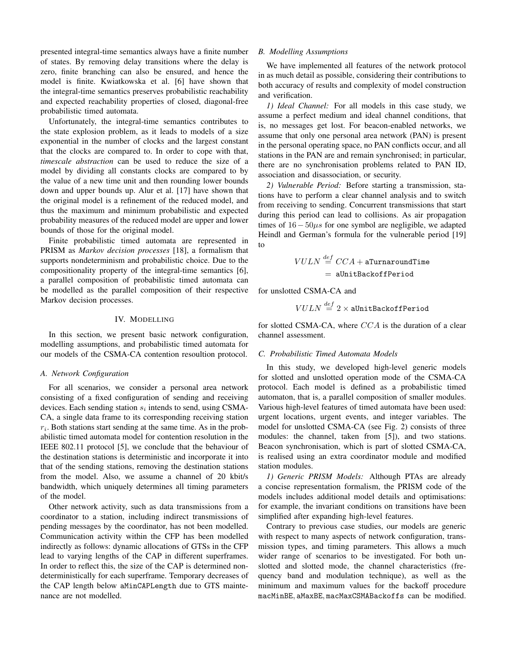presented integral-time semantics always have a finite number of states. By removing delay transitions where the delay is zero, finite branching can also be ensured, and hence the model is finite. Kwiatkowska et al. [6] have shown that the integral-time semantics preserves probabilistic reachability and expected reachability properties of closed, diagonal-free probabilistic timed automata.

Unfortunately, the integral-time semantics contributes to the state explosion problem, as it leads to models of a size exponential in the number of clocks and the largest constant that the clocks are compared to. In order to cope with that, *timescale abstraction* can be used to reduce the size of a model by dividing all constants clocks are compared to by the value of a new time unit and then rounding lower bounds down and upper bounds up. Alur et al. [17] have shown that the original model is a refinement of the reduced model, and thus the maximum and minimum probabilistic and expected probability measures of the reduced model are upper and lower bounds of those for the original model.

Finite probabilistic timed automata are represented in PRISM as *Markov decision processes* [18], a formalism that supports nondeterminism and probabilistic choice. Due to the compositionality property of the integral-time semantics [6], a parallel composition of probabilistic timed automata can be modelled as the parallel composition of their respective Markov decision processes.

## IV. MODELLING

In this section, we present basic network configuration, modelling assumptions, and probabilistic timed automata for our models of the CSMA-CA contention resoultion protocol.

## *A. Network Configuration*

For all scenarios, we consider a personal area network consisting of a fixed configuration of sending and receiving devices. Each sending station  $s_i$  intends to send, using CSMA-CA, a single data frame to its corresponding receiving station  $r_i$ . Both stations start sending at the same time. As in the probabilistic timed automata model for contention resolution in the IEEE 802.11 protocol [5], we conclude that the behaviour of the destination stations is deterministic and incorporate it into that of the sending stations, removing the destination stations from the model. Also, we assume a channel of 20 kbit/s bandwidth, which uniquely determines all timing parameters of the model.

Other network activity, such as data transmissions from a coordinator to a station, including indirect transmissions of pending messages by the coordinator, has not been modelled. Communication activity within the CFP has been modelled indirectly as follows: dynamic allocations of GTSs in the CFP lead to varying lengths of the CAP in different superframes. In order to reflect this, the size of the CAP is determined nondeterministically for each superframe. Temporary decreases of the CAP length below aMinCAPLength due to GTS maintenance are not modelled.

## *B. Modelling Assumptions*

We have implemented all features of the network protocol in as much detail as possible, considering their contributions to both accuracy of results and complexity of model construction and verification.

*1) Ideal Channel:* For all models in this case study, we assume a perfect medium and ideal channel conditions, that is, no messages get lost. For beacon-enabled networks, we assume that only one personal area network (PAN) is present in the personal operating space, no PAN conflicts occur, and all stations in the PAN are and remain synchronised; in particular, there are no synchronisation problems related to PAN ID, association and disassociation, or security.

*2) Vulnerable Period:* Before starting a transmission, stations have to perform a clear channel analysis and to switch from receiving to sending. Concurrent transmissions that start during this period can lead to collisions. As air propagation times of  $16-50\mu s$  for one symbol are negligible, we adapted Heindl and German's formula for the vulnerable period [19] to

$$
\begin{aligned} VULN \stackrel{def}{=} CCA + \texttt{aTurnaroundTime} \\ = \texttt{aUnitBackoffPeriod} \end{aligned}
$$

for unslotted CSMA-CA and

 $V U L N \stackrel{def}{=} 2 \times \text{alInitBackoffPeriod}$ 

for slotted CSMA-CA, where  $CCA$  is the duration of a clear channel assessment.

## *C. Probabilistic Timed Automata Models*

In this study, we developed high-level generic models for slotted and unslotted operation mode of the CSMA-CA protocol. Each model is defined as a probabilistic timed automaton, that is, a parallel composition of smaller modules. Various high-level features of timed automata have been used: urgent locations, urgent events, and integer variables. The model for unslotted CSMA-CA (see Fig. 2) consists of three modules: the channel, taken from [5]), and two stations. Beacon synchronisation, which is part of slotted CSMA-CA, is realised using an extra coordinator module and modified station modules.

*1) Generic PRISM Models:* Although PTAs are already a concise representation formalism, the PRISM code of the models includes additional model details and optimisations: for example, the invariant conditions on transitions have been simplified after expanding high-level features.

Contrary to previous case studies, our models are generic with respect to many aspects of network configuration, transmission types, and timing parameters. This allows a much wider range of scenarios to be investigated. For both unslotted and slotted mode, the channel characteristics (frequency band and modulation technique), as well as the minimum and maximum values for the backoff procedure macMinBE, aMaxBE, macMaxCSMABackoffs can be modified.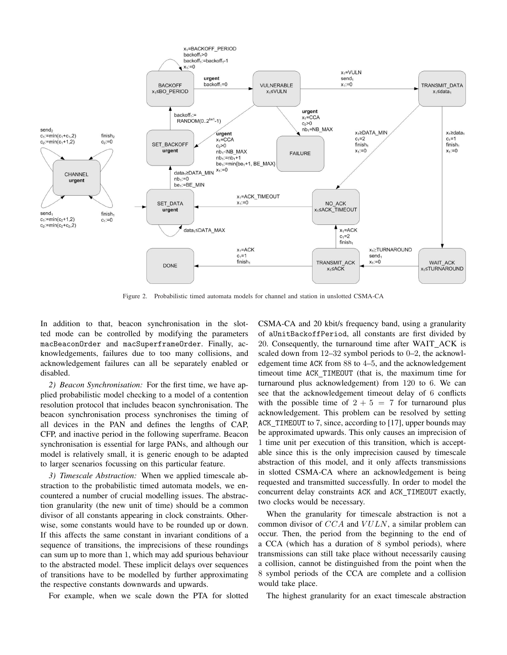

Figure 2. Probabilistic timed automata models for channel and station in unslotted CSMA-CA

In addition to that, beacon synchronisation in the slotted mode can be controlled by modifying the parameters macBeaconOrder and macSuperframeOrder. Finally, acknowledgements, failures due to too many collisions, and acknowledgement failures can all be separately enabled or disabled.

*2) Beacon Synchronisation:* For the first time, we have applied probabilistic model checking to a model of a contention resolution protocol that includes beacon synchronisation. The beacon synchronisation process synchronises the timing of all devices in the PAN and defines the lengths of CAP, CFP, and inactive period in the following superframe. Beacon synchronisation is essential for large PANs, and although our model is relatively small, it is generic enough to be adapted to larger scenarios focussing on this particular feature.

*3) Timescale Abstraction:* When we applied timescale abstraction to the probabilistic timed automata models, we encountered a number of crucial modelling issues. The abstraction granularity (the new unit of time) should be a common divisor of all constants appearing in clock constraints. Otherwise, some constants would have to be rounded up or down. If this affects the same constant in invariant conditions of a sequence of transitions, the imprecisions of these roundings can sum up to more than 1, which may add spurious behaviour to the abstracted model. These implicit delays over sequences of transitions have to be modelled by further approximating the respective constants downwards and upwards.

For example, when we scale down the PTA for slotted

CSMA-CA and 20 kbit/s frequency band, using a granularity of aUnitBackoffPeriod, all constants are first divided by 20. Consequently, the turnaround time after WAIT\_ACK is scaled down from 12–32 symbol periods to 0–2, the acknowledgement time ACK from 88 to 4–5, and the acknowledgement timeout time ACK TIMEOUT (that is, the maximum time for turnaround plus acknowledgement) from 120 to 6. We can see that the acknowledgement timeout delay of 6 conflicts with the possible time of  $2 + 5 = 7$  for turnaround plus acknowledgement. This problem can be resolved by setting ACK\_TIMEOUT to 7, since, according to [17], upper bounds may be approximated upwards. This only causes an imprecision of 1 time unit per execution of this transition, which is acceptable since this is the only imprecision caused by timescale abstraction of this model, and it only affects transmissions in slotted CSMA-CA where an acknowledgement is being requested and transmitted successfully. In order to model the concurrent delay constraints ACK and ACK\_TIMEOUT exactly, two clocks would be necessary.

When the granularity for timescale abstraction is not a common divisor of  $CCA$  and  $VULN$ , a similar problem can occur. Then, the period from the beginning to the end of a CCA (which has a duration of 8 symbol periods), where transmissions can still take place without necessarily causing a collision, cannot be distinguished from the point when the 8 symbol periods of the CCA are complete and a collision would take place.

The highest granularity for an exact timescale abstraction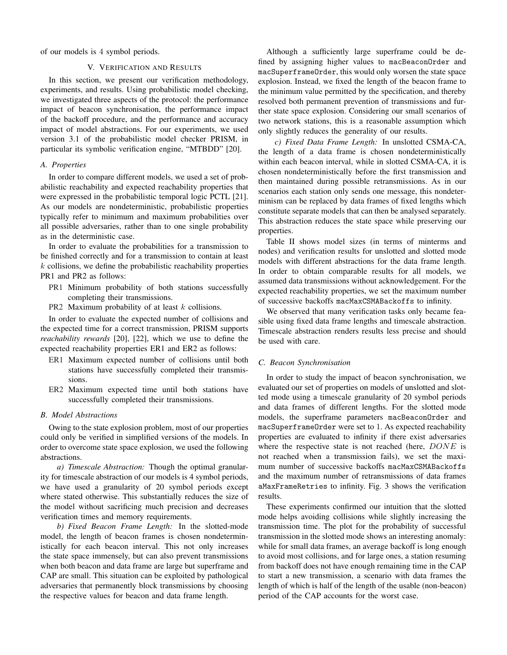of our models is 4 symbol periods.

# V. VERIFICATION AND RESULTS

In this section, we present our verification methodology, experiments, and results. Using probabilistic model checking, we investigated three aspects of the protocol: the performance impact of beacon synchronisation, the performance impact of the backoff procedure, and the performance and accuracy impact of model abstractions. For our experiments, we used version 3.1 of the probabilistic model checker PRISM, in particular its symbolic verification engine, "MTBDD" [20].

#### *A. Properties*

In order to compare different models, we used a set of probabilistic reachability and expected reachability properties that were expressed in the probabilistic temporal logic PCTL [21]. As our models are nondeterministic, probabilistic properties typically refer to minimum and maximum probabilities over all possible adversaries, rather than to one single probability as in the deterministic case.

In order to evaluate the probabilities for a transmission to be finished correctly and for a transmission to contain at least  $k$  collisions, we define the probabilistic reachability properties PR1 and PR2 as follows:

- PR1 Minimum probability of both stations successfully completing their transmissions.
- PR2 Maximum probability of at least k collisions.

In order to evaluate the expected number of collisions and the expected time for a correct transmission, PRISM supports *reachability rewards* [20], [22], which we use to define the expected reachability properties ER1 and ER2 as follows:

- ER1 Maximum expected number of collisions until both stations have successfully completed their transmissions.
- ER2 Maximum expected time until both stations have successfully completed their transmissions.

# *B. Model Abstractions*

Owing to the state explosion problem, most of our properties could only be verified in simplified versions of the models. In order to overcome state space explosion, we used the following abstractions.

*a) Timescale Abstraction:* Though the optimal granularity for timescale abstraction of our models is 4 symbol periods, we have used a granularity of 20 symbol periods except where stated otherwise. This substantially reduces the size of the model without sacrificing much precision and decreases verification times and memory requirements.

*b) Fixed Beacon Frame Length:* In the slotted-mode model, the length of beacon frames is chosen nondeterministically for each beacon interval. This not only increases the state space immensely, but can also prevent transmissions when both beacon and data frame are large but superframe and CAP are small. This situation can be exploited by pathological adversaries that permanently block transmissions by choosing the respective values for beacon and data frame length.

Although a sufficiently large superframe could be defined by assigning higher values to macBeaconOrder and macSuperframeOrder, this would only worsen the state space explosion. Instead, we fixed the length of the beacon frame to the minimum value permitted by the specification, and thereby resolved both permanent prevention of transmissions and further state space explosion. Considering our small scenarios of two network stations, this is a reasonable assumption which only slightly reduces the generality of our results.

*c) Fixed Data Frame Length:* In unslotted CSMA-CA, the length of a data frame is chosen nondeterministically within each beacon interval, while in slotted CSMA-CA, it is chosen nondeterministically before the first transmission and then maintained during possible retransmissions. As in our scenarios each station only sends one message, this nondeterminism can be replaced by data frames of fixed lengths which constitute separate models that can then be analysed separately. This abstraction reduces the state space while preserving our properties.

Table II shows model sizes (in terms of minterms and nodes) and verification results for unslotted and slotted mode models with different abstractions for the data frame length. In order to obtain comparable results for all models, we assumed data transmissions without acknowledgement. For the expected reachability properties, we set the maximum number of successive backoffs macMaxCSMABackoffs to infinity.

We observed that many verification tasks only became feasible using fixed data frame lengths and timescale abstraction. Timescale abstraction renders results less precise and should be used with care.

## *C. Beacon Synchronisation*

In order to study the impact of beacon synchronisation, we evaluated our set of properties on models of unslotted and slotted mode using a timescale granularity of 20 symbol periods and data frames of different lengths. For the slotted mode models, the superframe parameters macBeaconOrder and macSuperframeOrder were set to 1. As expected reachability properties are evaluated to infinity if there exist adversaries where the respective state is not reached (here,  $DONE$  is not reached when a transmission fails), we set the maximum number of successive backoffs macMaxCSMABackoffs and the maximum number of retransmissions of data frames aMaxFrameRetries to infinity. Fig. 3 shows the verification results.

These experiments confirmed our intuition that the slotted mode helps avoiding collisions while slightly increasing the transmission time. The plot for the probability of successful transmission in the slotted mode shows an interesting anomaly: while for small data frames, an average backoff is long enough to avoid most collisions, and for large ones, a station resuming from backoff does not have enough remaining time in the CAP to start a new transmission, a scenario with data frames the length of which is half of the length of the usable (non-beacon) period of the CAP accounts for the worst case.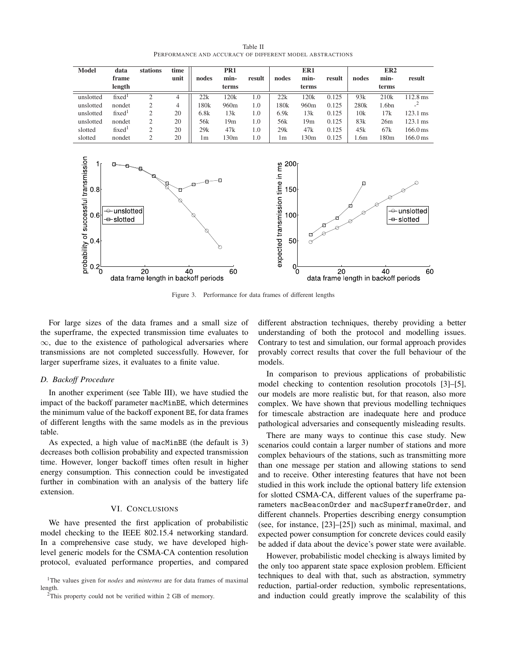Table II PERFORMANCE AND ACCURACY OF DIFFERENT MODEL ABSTRACTIONS

| <b>Model</b>                                                                         | data                                 | stations                                   | time           |                | PR1             |        |                                                                                | ER1             |        |                                      | ER <sub>2</sub>   |                                     |
|--------------------------------------------------------------------------------------|--------------------------------------|--------------------------------------------|----------------|----------------|-----------------|--------|--------------------------------------------------------------------------------|-----------------|--------|--------------------------------------|-------------------|-------------------------------------|
|                                                                                      | frame                                |                                            | unit           | nodes          | min-            | result | nodes                                                                          | min-            | result | nodes                                | min-              | result                              |
|                                                                                      | length                               |                                            |                |                | terms           |        |                                                                                | terms           |        |                                      | terms             |                                     |
| unslotted                                                                            | fixed <sup>1</sup>                   | 2                                          | $\overline{4}$ | 22k            | 120k            | 1.0    | 22k                                                                            | 120k            | 0.125  | 93k                                  | 210 <sub>k</sub>  | $112.8 \,\mathrm{ms}$               |
| unslotted                                                                            | nondet                               | $\mathfrak{2}$                             | 4              | 180k           | 960m            | 1.0    | 180k                                                                           | 960m            | 0.125  | 280 <sub>k</sub>                     | 1.6 <sub>bn</sub> | $\mathbf{r}^2$                      |
| unslotted                                                                            | fixed <sup>1</sup>                   | $\overline{c}$                             | 20             | 6.8k           | 13k             | 1.0    | 6.9k                                                                           | 13k             | 0.125  | 10k                                  | 17k               | 123.1 ms                            |
| unslotted                                                                            | nondet                               | 2                                          | 20             | 56k            | 19 <sub>m</sub> | 1.0    | 56 <sub>k</sub>                                                                | 19 <sub>m</sub> | 0.125  | 83k                                  | 26m               | $123.1 \,\text{ms}$                 |
| slotted                                                                              | fixed <sup>1</sup>                   | 2                                          | 20             | 29k            | 47k             | 1.0    | 29k                                                                            | 47k             | 0.125  | 45k                                  | 67k               | $166.0 \,\text{ms}$                 |
| slotted                                                                              | nondet                               | 2                                          | 20             | 1 <sub>m</sub> | 130m            | 1.0    | 1 <sub>m</sub>                                                                 | 130m            | 0.125  | 1.6m                                 | 180m              | $166.0 \,\mathrm{ms}$               |
| probability of successful transmission<br>0.8<br>0 6l<br>0.4<br>$0.2^{\mathrm{t}}_0$ | $\rightarrow$ unslotted<br>— slotted | 20<br>data frame length in backoff periods | 40             |                | Μ<br>60         |        | expected transmission time in ms<br>expected transmission time in ms<br>$^{0}$ |                 | 20     | data frame length in backoff periods | 40                | $\div$ unslotted<br>— slotted<br>60 |

Figure 3. Performance for data frames of different lengths

For large sizes of the data frames and a small size of the superframe, the expected transmission time evaluates to  $\infty$ , due to the existence of pathological adversaries where transmissions are not completed successfully. However, for larger superframe sizes, it evaluates to a finite value.

#### *D. Backoff Procedure*

In another experiment (see Table III), we have studied the impact of the backoff parameter macMinBE, which determines the minimum value of the backoff exponent BE, for data frames of different lengths with the same models as in the previous table.

As expected, a high value of macMinBE (the default is 3) decreases both collision probability and expected transmission time. However, longer backoff times often result in higher energy consumption. This connection could be investigated further in combination with an analysis of the battery life extension.

## VI. CONCLUSIONS

We have presented the first application of probabilistic model checking to the IEEE 802.15.4 networking standard. In a comprehensive case study, we have developed highlevel generic models for the CSMA-CA contention resolution protocol, evaluated performance properties, and compared different abstraction techniques, thereby providing a better understanding of both the protocol and modelling issues. Contrary to test and simulation, our formal approach provides provably correct results that cover the full behaviour of the models.

In comparison to previous applications of probabilistic model checking to contention resolution procotols [3]–[5], our models are more realistic but, for that reason, also more complex. We have shown that previous modelling techniques for timescale abstraction are inadequate here and produce pathological adversaries and consequently misleading results.

There are many ways to continue this case study. New scenarios could contain a larger number of stations and more complex behaviours of the stations, such as transmitting more than one message per station and allowing stations to send and to receive. Other interesting features that have not been studied in this work include the optional battery life extension for slotted CSMA-CA, different values of the superframe parameters macBeaconOrder and macSuperframeOrder, and different channels. Properties describing energy consumption (see, for instance, [23]–[25]) such as minimal, maximal, and expected power consumption for concrete devices could easily be added if data about the device's power state were available.

However, probabilistic model checking is always limited by the only too apparent state space explosion problem. Efficient techniques to deal with that, such as abstraction, symmetry reduction, partial-order reduction, symbolic representations, and induction could greatly improve the scalability of this

<sup>&</sup>lt;sup>1</sup>The values given for *nodes* and *minterms* are for data frames of maximal length.

<sup>&</sup>lt;sup>2</sup>This property could not be verified within 2 GB of memory.